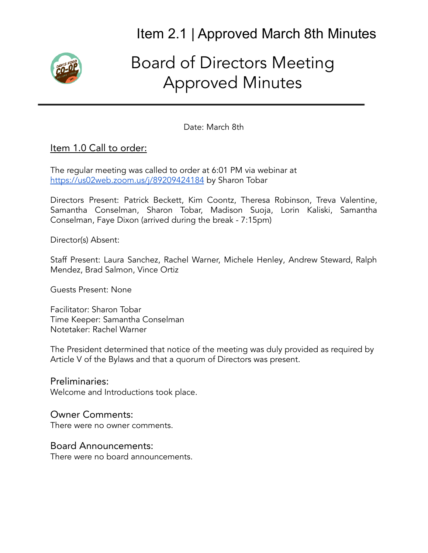

# Board of Directors Meeting Approved Minutes

Date: March 8th

### Item 1.0 Call to order:

The regular meeting was called to order at 6:01 PM via webinar at <https://us02web.zoom.us/j/89209424184> by Sharon Tobar

Directors Present: Patrick Beckett, Kim Coontz, Theresa Robinson, Treva Valentine, Samantha Conselman, Sharon Tobar, Madison Suoja, Lorin Kaliski, Samantha Conselman, Faye Dixon (arrived during the break - 7:15pm)

Director(s) Absent:

Staff Present: Laura Sanchez, Rachel Warner, Michele Henley, Andrew Steward, Ralph Mendez, Brad Salmon, Vince Ortiz

Guests Present: None

Facilitator: Sharon Tobar Time Keeper: Samantha Conselman Notetaker: Rachel Warner

The President determined that notice of the meeting was duly provided as required by Article V of the Bylaws and that a quorum of Directors was present.

Preliminaries: Welcome and Introductions took place.

#### Owner Comments:

There were no owner comments.

#### Board Announcements:

There were no board announcements.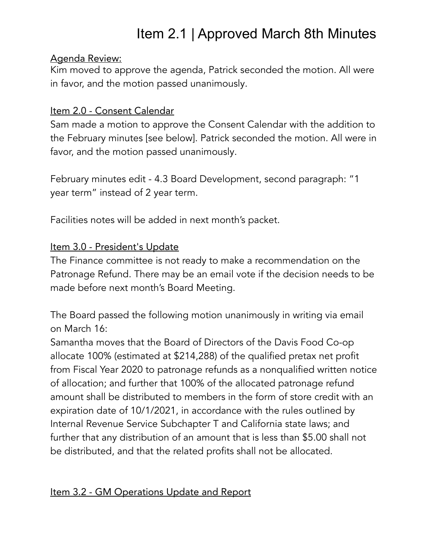### Agenda Review:

Kim moved to approve the agenda, Patrick seconded the motion. All were in favor, and the motion passed unanimously.

### Item 2.0 - Consent Calendar

Sam made a motion to approve the Consent Calendar with the addition to the February minutes [see below]. Patrick seconded the motion. All were in favor, and the motion passed unanimously.

February minutes edit - 4.3 Board Development, second paragraph: "1 year term" instead of 2 year term.

Facilities notes will be added in next month's packet.

## Item 3.0 - President's Update

The Finance committee is not ready to make a recommendation on the Patronage Refund. There may be an email vote if the decision needs to be made before next month's Board Meeting.

The Board passed the following motion unanimously in writing via email on March 16:

Samantha moves that the Board of Directors of the Davis Food Co-op allocate 100% (estimated at \$214,288) of the qualified pretax net profit from Fiscal Year 2020 to patronage refunds as a nonqualified written notice of allocation; and further that 100% of the allocated patronage refund amount shall be distributed to members in the form of store credit with an expiration date of 10/1/2021, in accordance with the rules outlined by Internal Revenue Service Subchapter T and California state laws; and further that any distribution of an amount that is less than \$5.00 shall not be distributed, and that the related profits shall not be allocated.

# Item 3.2 - GM Operations Update and Report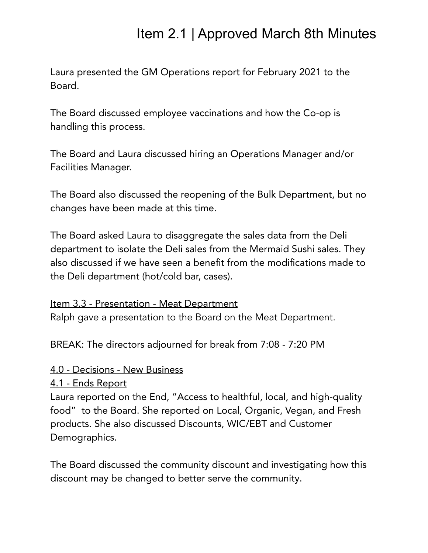Laura presented the GM Operations report for February 2021 to the Board.

The Board discussed employee vaccinations and how the Co-op is handling this process.

The Board and Laura discussed hiring an Operations Manager and/or Facilities Manager.

The Board also discussed the reopening of the Bulk Department, but no changes have been made at this time.

The Board asked Laura to disaggregate the sales data from the Deli department to isolate the Deli sales from the Mermaid Sushi sales. They also discussed if we have seen a benefit from the modifications made to the Deli department (hot/cold bar, cases).

### Item 3.3 - Presentation - Meat Department

Ralph gave a presentation to the Board on the Meat Department.

BREAK: The directors adjourned for break from 7:08 - 7:20 PM

### 4.0 - Decisions - New Business

### 4.1 - Ends Report

Laura reported on the End, "Access to healthful, local, and high-quality food" to the Board. She reported on Local, Organic, Vegan, and Fresh products. She also discussed Discounts, WIC/EBT and Customer Demographics.

The Board discussed the community discount and investigating how this discount may be changed to better serve the community.